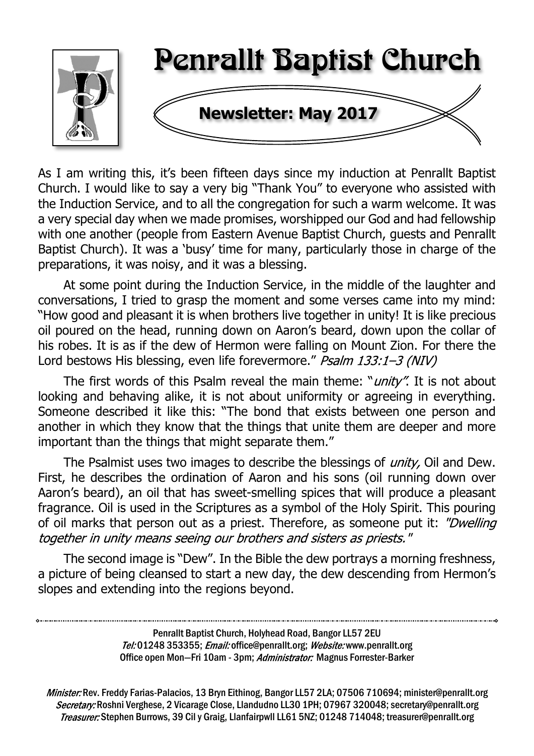

As I am writing this, it's been fifteen days since my induction at Penrallt Baptist Church. I would like to say a very big "Thank You" to everyone who assisted with the Induction Service, and to all the congregation for such a warm welcome. It was a very special day when we made promises, worshipped our God and had fellowship with one another (people from Eastern Avenue Baptist Church, guests and Penrallt Baptist Church). It was a 'busy' time for many, particularly those in charge of the preparations, it was noisy, and it was a blessing.

At some point during the Induction Service, in the middle of the laughter and conversations, I tried to grasp the moment and some verses came into my mind: "How good and pleasant it is when brothers live together in unity! It is like precious oil poured on the head, running down on Aaron's beard, down upon the collar of his robes. It is as if the dew of Hermon were falling on Mount Zion. For there the Lord bestows His blessing, even life forevermore." Psalm 133:1-3 (NIV)

The first words of this Psalm reveal the main theme: "*unity*". It is not about looking and behaving alike, it is not about uniformity or agreeing in everything. Someone described it like this: "The bond that exists between one person and another in which they know that the things that unite them are deeper and more important than the things that might separate them."

The Psalmist uses two images to describe the blessings of *unity*, Oil and Dew. First, he describes the ordination of Aaron and his sons (oil running down over Aaron's beard), an oil that has sweet-smelling spices that will produce a pleasant fragrance. Oil is used in the Scriptures as a symbol of the Holy Spirit. This pouring of oil marks that person out as a priest. Therefore, as someone put it: "Dwelling together in unity means seeing our brothers and sisters as priests."

The second image is "Dew". In the Bible the dew portrays a morning freshness, a picture of being cleansed to start a new day, the dew descending from Hermon's slopes and extending into the regions beyond.

> Penrallt Baptist Church, Holyhead Road, Bangor LL57 2EU Tel:01248 353355; Email: office@penrallt.org; Website: www.penrallt.org Office open Mon-Fri 10am - 3pm; Administrator: Magnus Forrester-Barker

Minister: Rev. Freddy Farias-Palacios, 13 Bryn Eithinog, Bangor LL57 2LA; 07506 710694; minister@penrallt.org Secretary: Roshni Verghese, 2 Vicarage Close, Llandudno LL30 1PH; 07967 320048; secretary@penrallt.org Treasurer: Stephen Burrows, 39 Cil y Graig, Llanfairpwll LL61 5NZ; 01248 714048; treasurer@penrallt.org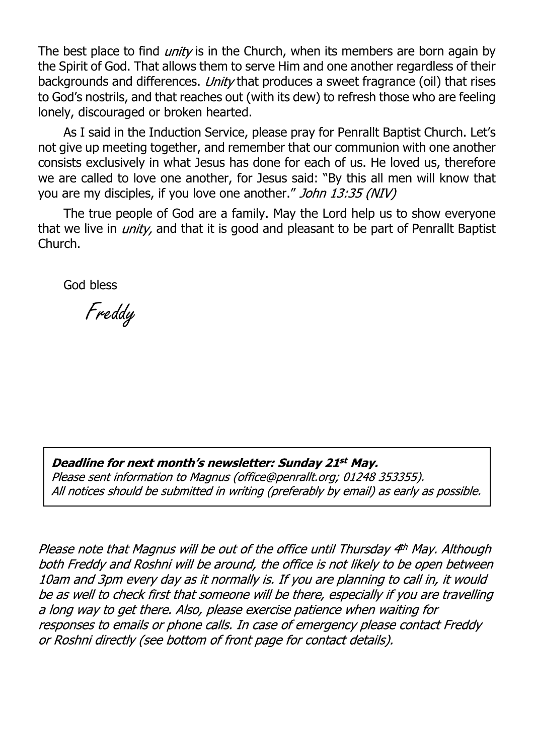The best place to find *unity* is in the Church, when its members are born again by the Spirit of God. That allows them to serve Him and one another regardless of their backgrounds and differences. Unity that produces a sweet fragrance (oil) that rises to God's nostrils, and that reaches out (with its dew) to refresh those who are feeling lonely, discouraged or broken hearted.

As I said in the Induction Service, please pray for Penrallt Baptist Church. Let's not give up meeting together, and remember that our communion with one another consists exclusively in what Jesus has done for each of us. He loved us, therefore we are called to love one another, for Jesus said: "By this all men will know that you are my disciples, if you love one another." John 13:35 (NIV)

The true people of God are a family. May the Lord help us to show everyone that we live in *unity*, and that it is good and pleasant to be part of Penrallt Baptist Church.

God bless

Freddy

#### Deadline for next month's newsletter: Sunday 21st May.

Please sent information to Magnus (office@penrallt.org: 01248 353355). All notices should be submitted in writing (preferably by email) as early as possible.

Please note that Magnus will be out of the office until Thursday 4<sup>th</sup> May. Although both Freddy and Roshni will be around, the office is not likely to be open between 10am and 3pm every day as it normally is. If you are planning to call in, it would be as well to check first that someone will be there, especially if you are travelling a long way to get there. Also, please exercise patience when waiting for responses to emails or phone calls. In case of emergency please contact Freddy or Roshni directly (see bottom of front page for contact details).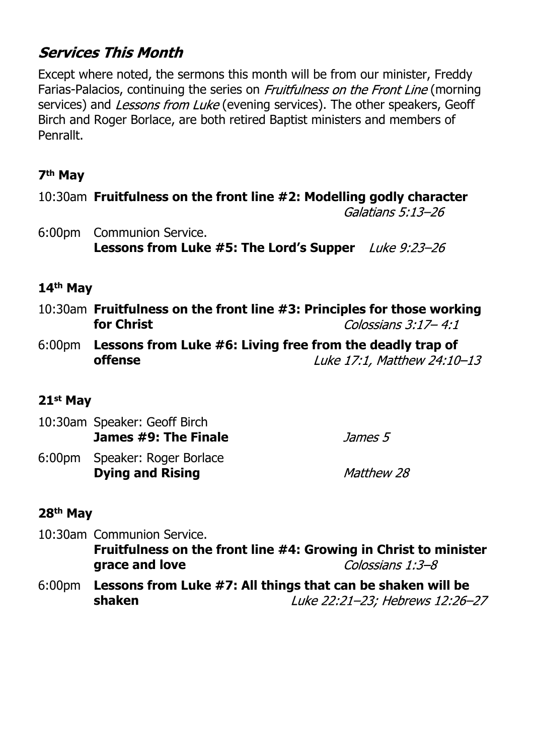# **Services This Month**

Except where noted, the sermons this month will be from our minister, Freddy Farias-Palacios, continuing the series on *Fruitfulness on the Front Line* (morning services) and *Lessons from Luke* (evening services). The other speakers, Geoff Birch and Roger Borlace, are both retired Baptist ministers and members of Penrallt.

### **7th May**

10:30am **Fruitfulness on the front line #2: Modelling godly character**

Galatians 5:13-26

6:00pm Communion Service. **Lessons from Luke #5: The Lord's Supper**

#### **14th May**

- 10:30am **Fruitfulness on the front line #3: Principles for those working for Christ** Colossians  $3:17 - 4:1$
- 6:00pm **Lessons from Luke #6: Living free from the deadly trap of offense** Luke 17:1, Matthew 24:10-13

# **21st May**

| 10:30am Speaker: Geoff Birch<br>James #9: The Finale     | <i>James 5</i>    |
|----------------------------------------------------------|-------------------|
| 6:00pm Speaker: Roger Borlace<br><b>Dying and Rising</b> | <i>Matthew 28</i> |

#### **28th May**

10:30am Communion Service. **Fruitfulness on the front line #4: Growing in Christ to minister grace and love** Colossians  $1:3-8$ 

6:00pm **Lessons from Luke #7: All things that can be shaken will be shaken**Luke 22:21-23; Hebrews 12:26-27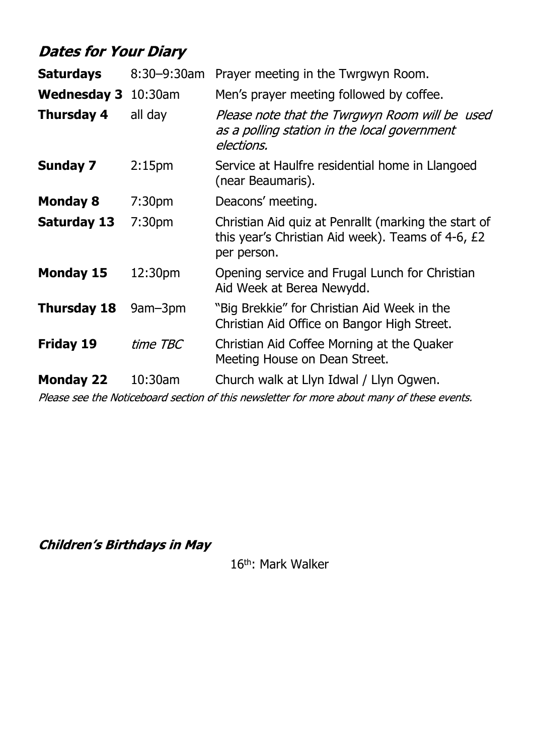# **Dates for Your Diary**

| <b>Saturdays</b>            | 8:30-9:30am                                                                                           | Prayer meeting in the Twrgwyn Room.                                                                                      |
|-----------------------------|-------------------------------------------------------------------------------------------------------|--------------------------------------------------------------------------------------------------------------------------|
| <b>Wednesday 3</b>          | $10:30$ am                                                                                            | Men's prayer meeting followed by coffee.                                                                                 |
| <b>Thursday 4</b>           | all day                                                                                               | Please note that the Twrgwyn Room will be used<br>as a polling station in the local government<br>elections.             |
| <b>Sunday 7</b>             | 2:15 <sub>pm</sub>                                                                                    | Service at Haulfre residential home in Llangoed<br>(near Beaumaris).                                                     |
| <b>Monday 8</b>             | 7:30 <sub>pm</sub>                                                                                    | Deacons' meeting.                                                                                                        |
| <b>Saturday 13</b>          | 7:30pm                                                                                                | Christian Aid quiz at Penrallt (marking the start of<br>this year's Christian Aid week). Teams of 4-6, £2<br>per person. |
| <b>Monday 15</b><br>12:30pm |                                                                                                       | Opening service and Frugal Lunch for Christian<br>Aid Week at Berea Newydd.                                              |
| <b>Thursday 18</b>          | "Big Brekkie" for Christian Aid Week in the<br>9am-3pm<br>Christian Aid Office on Bangor High Street. |                                                                                                                          |
| <b>Friday 19</b>            | time TBC                                                                                              | Christian Aid Coffee Morning at the Quaker<br>Meeting House on Dean Street.                                              |
| <b>Monday 22</b>            | 10:30am                                                                                               | Church walk at Llyn Idwal / Llyn Ogwen.                                                                                  |

Please see the Noticeboard section of this newsletter for more about many of these events.

**Children's Birthdays in May** 

16<sup>th</sup>: Mark Walker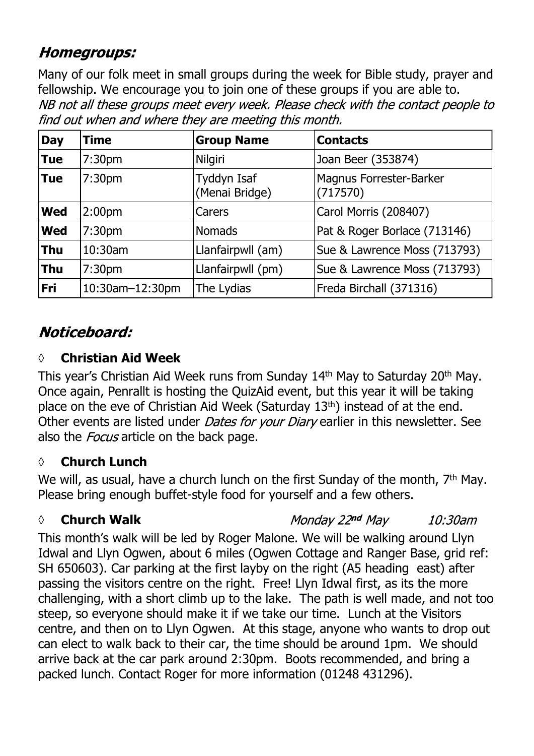# **Homegroups:**

Many of our folk meet in small groups during the week for Bible study, prayer and fellowship. We encourage you to join one of these groups if you are able to.NB not all these groups meet every week. Please check with the contact people to find out when and where they are meeting this month.

| <b>Day</b> | Time               | <b>Group Name</b>             | <b>Contacts</b>                     |
|------------|--------------------|-------------------------------|-------------------------------------|
| <b>Tue</b> | 7:30 <sub>pm</sub> | <b>Nilgiri</b>                | Joan Beer (353874)                  |
| <b>Tue</b> | 7:30 <sub>pm</sub> | Tyddyn Isaf<br>(Menai Bridge) | Magnus Forrester-Barker<br>(717570) |
| <b>Wed</b> | 2:00 <sub>pm</sub> | Carers                        | Carol Morris (208407)               |
| <b>Wed</b> | 7:30 <sub>pm</sub> | <b>Nomads</b>                 | Pat & Roger Borlace (713146)        |
| <b>Thu</b> | 10:30am            | Llanfairpwll (am)             | Sue & Lawrence Moss (713793)        |
| <b>Thu</b> | 7:30 <sub>pm</sub> | Llanfairpwll (pm)             | Sue & Lawrence Moss (713793)        |
| <b>Fri</b> | 10:30am-12:30pm    | The Lydias                    | Freda Birchall (371316)             |

# Noticeboard:

### **◊ Christian Aid Week**

This year's Christian Aid Week runs from Sunday 14th May to Saturday 20th May. Once again, Penrallt is hosting the QuizAid event, but this year it will be taking place on the eve of Christian Aid Week (Saturday 13th) instead of at the end. Other events are listed under *Dates for your Diary* earlier in this newsletter. See also the *Focus* article on the back page.

# **◊ Church Lunch**

We will, as usual, have a church lunch on the first Sunday of the month, 7<sup>th</sup> May. Please bring enough buffet-style food for yourself and a few others.

# *◊* **Church Walk**

Monday 22nd May 10:30am

This month's walk will be led by Roger Malone. We will be walking around Llyn Idwal and Llyn Ogwen, about 6 miles (Ogwen Cottage and Ranger Base, grid ref: SH 650603). Car parking at the first layby on the right (A5 heading east) after passing the visitors centre on the right. Free! Llyn Idwal first, as its the more challenging, with a short climb up to the lake. The path is well made, and not too steep, so everyone should make it if we take our time. Lunch at the Visitors centre, and then on to Llyn Ogwen. At this stage, anyone who wants to drop out can elect to walk back to their car, the time should be around 1pm. We should arrive back at the car park around 2:30pm. Boots recommended, and bring a packed lunch. Contact Roger for more information (01248 431296).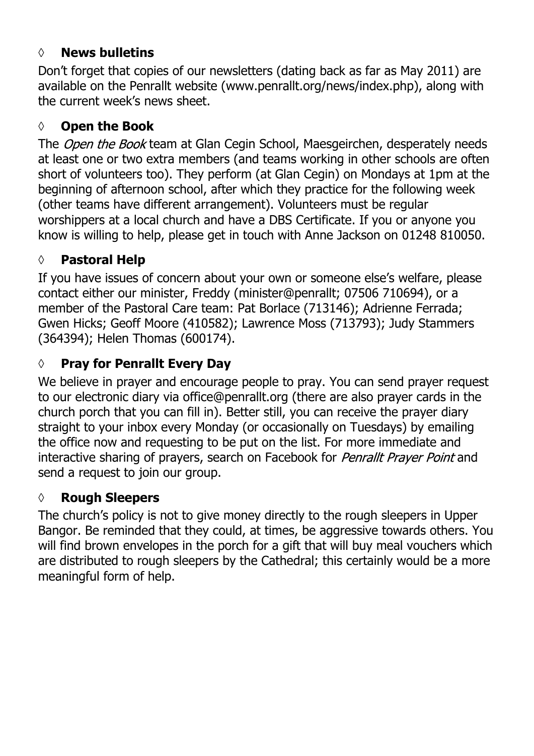#### **◊ News bulletins**

Don't forget that copies of our newsletters (dating back as far as May 2011) are available on the Penrallt website (www.penrallt.org/news/index.php), along with the current week's news sheet.

#### **◊ Open the Book**

The Open the Book team at Glan Cegin School, Maesgeirchen, desperately needs at least one or two extra members (and teams working in other schools are often short of volunteers too). They perform (at Glan Cegin) on Mondays at 1pm at the beginning of afternoon school, after which they practice for the following week (other teams have different arrangement). Volunteers must be regular worshippers at a local church and have a DBS Certificate. If you or anyone you know is willing to help, please get in touch with Anne Jackson on 01248 810050.

### **◊ Pastoral Help**

If you have issues of concern about your own or someone else's welfare, please contact either our minister, Freddy (minister@penrallt; 07506 710694), or a member of the Pastoral Care team: Pat Borlace (713146); Adrienne Ferrada; Gwen Hicks; Geoff Moore (410582); Lawrence Moss (713793); Judy Stammers (364394); Helen Thomas (600174).

# **◊ Pray for Penrallt Every Day**

We believe in prayer and encourage people to pray. You can send prayer request to our electronic diary via office@penrallt.org (there are also prayer cards in the church porch that you can fill in). Better still, you can receive the prayer diary straight to your inbox every Monday (or occasionally on Tuesdays) by emailing the office now and requesting to be put on the list. For more immediate and interactive sharing of prayers, search on Facebook for *Penrallt Prayer Point* and send a request to join our group.

#### **◊ Rough Sleepers**

The church's policy is not to give money directly to the rough sleepers in Upper Bangor. Be reminded that they could, at times, be aggressive towards others. You will find brown envelopes in the porch for a gift that will buy meal vouchers which are distributed to rough sleepers by the Cathedral; this certainly would be a more meaningful form of help.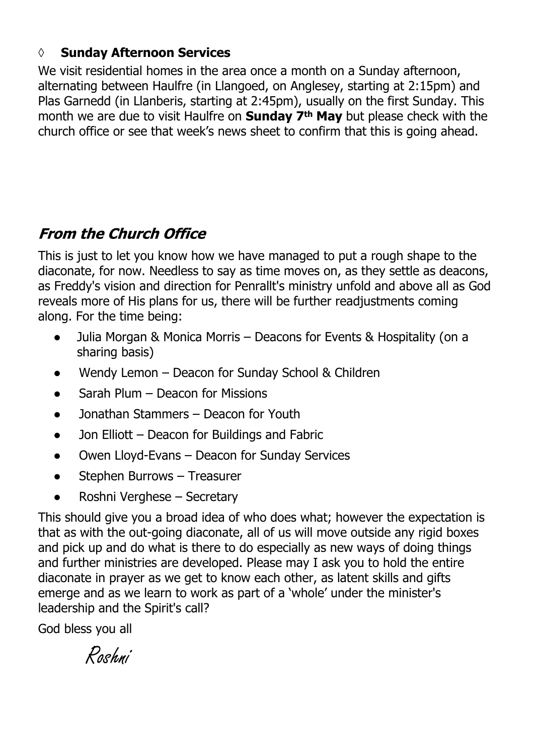#### **◊ Sunday Afternoon Services**

We visit residential homes in the area once a month on a Sunday afternoon, alternating between Haulfre (in Llangoed, on Anglesey, starting at 2:15pm) and Plas Garnedd (in Llanberis, starting at 2:45pm), usually on the first Sunday. This month we are due to visit Haulfre on **Sunday 7th May** but please check with the church office or see that week's news sheet to confirm that this is going ahead.

# **From the Church Office**

This is just to let you know how we have managed to put a rough shape to the diaconate, for now. Needless to say as time moves on, as they settle as deacons, as Freddy's vision and direction for Penrallt's ministry unfold and above all as God reveals more of His plans for us, there will be further readjustments coming along. For the time being:

- Julia Morgan & Monica Morris Deacons for Events & Hospitality (on a sharing basis)
- Wendy Lemon Deacon for Sunday School & Children
- Sarah Plum Deacon for Missions
- Jonathan Stammers Deacon for Youth
- Jon Elliott Deacon for Buildings and Fabric
- Owen Lloyd-Evans Deacon for Sunday Services
- Stephen Burrows Treasurer
- Roshni Verghese Secretary

This should give you a broad idea of who does what; however the expectation is that as with the out-going diaconate, all of us will move outside any rigid boxes and pick up and do what is there to do especially as new ways of doing things and further ministries are developed. Please may I ask you to hold the entire diaconate in prayer as we get to know each other, as latent skills and gifts emerge and as we learn to work as part of a 'whole' under the minister's leadership and the Spirit's call?

God bless you all

Roshni